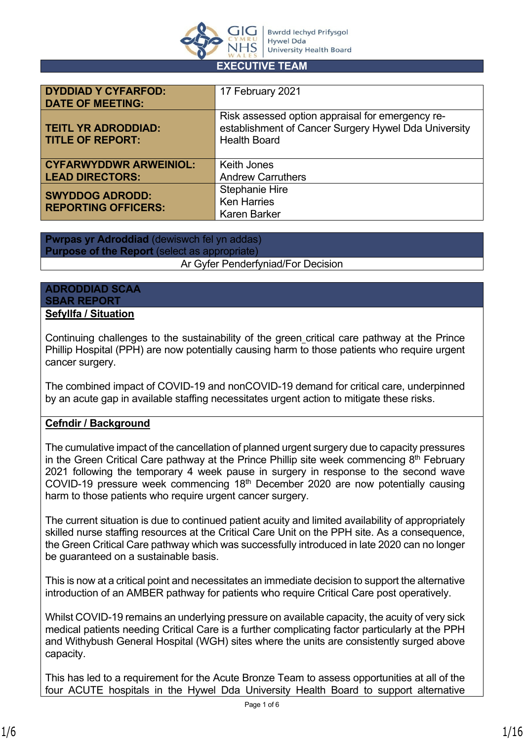

#### **EXECUTIVE TEAM**

| <b>DYDDIAD Y CYFARFOD:</b><br><b>DATE OF MEETING:</b> | 17 February 2021                                                                                                                |
|-------------------------------------------------------|---------------------------------------------------------------------------------------------------------------------------------|
| <b>TEITL YR ADRODDIAD:</b><br><b>TITLE OF REPORT:</b> | Risk assessed option appraisal for emergency re-<br>establishment of Cancer Surgery Hywel Dda University<br><b>Health Board</b> |
| <b>CYFARWYDDWR ARWEINIOL:</b>                         | <b>Keith Jones</b>                                                                                                              |
| <b>LEAD DIRECTORS:</b>                                | <b>Andrew Carruthers</b>                                                                                                        |
| <b>SWYDDOG ADRODD:</b><br><b>REPORTING OFFICERS:</b>  | <b>Stephanie Hire</b><br><b>Ken Harries</b><br><b>Karen Barker</b>                                                              |

**Pwrpas yr Adroddiad** (dewiswch fel yn addas) **Purpose of the Report** (select as appropriate) Ar Gyfer Penderfyniad/For Decision

#### **ADRODDIAD SCAA SBAR REPORT Sefyllfa / Situation**

Continuing challenges to the sustainability of the green critical care pathway at the Prince Phillip Hospital (PPH) are now potentially causing harm to those patients who require urgent cancer surgery.

The combined impact of COVID-19 and nonCOVID-19 demand for critical care, underpinned by an acute gap in available staffing necessitates urgent action to mitigate these risks.

#### **Cefndir / Background**

The cumulative impact of the cancellation of planned urgent surgery due to capacity pressures in the Green Critical Care pathway at the Prince Phillip site week commencing  $8<sup>th</sup>$  February 2021 following the temporary 4 week pause in surgery in response to the second wave COVID-19 pressure week commencing 18<sup>th</sup> December 2020 are now potentially causing harm to those patients who require urgent cancer surgery.

The current situation is due to continued patient acuity and limited availability of appropriately skilled nurse staffing resources at the Critical Care Unit on the PPH site. As a consequence, the Green Critical Care pathway which was successfully introduced in late 2020 can no longer be guaranteed on a sustainable basis.

This is now at a critical point and necessitates an immediate decision to support the alternative introduction of an AMBER pathway for patients who require Critical Care post operatively.

Whilst COVID-19 remains an underlying pressure on available capacity, the acuity of very sick medical patients needing Critical Care is a further complicating factor particularly at the PPH and Withybush General Hospital (WGH) sites where the units are consistently surged above capacity.

This has led to a requirement for the Acute Bronze Team to assess opportunities at all of the four ACUTE hospitals in the Hywel Dda University Health Board to support alternative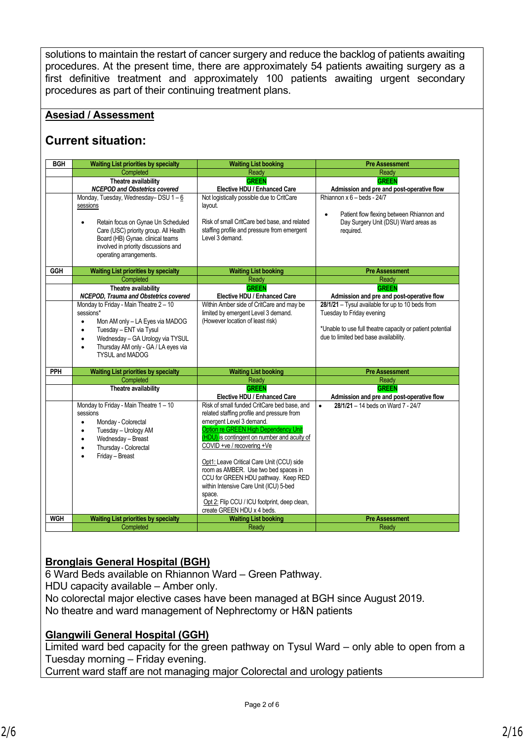solutions to maintain the restart of cancer surgery and reduce the backlog of patients awaiting procedures. At the present time, there are approximately 54 patients awaiting surgery as a first definitive treatment and approximately 100 patients awaiting urgent secondary procedures as part of their continuing treatment plans.

#### **Asesiad / Assessment**

#### **Current situation:**

| <b>BGH</b> | <b>Waiting List priorities by specialty</b>                                                                                                                                                                                                                                                                                                 | <b>Waiting List booking</b>                                                                                                                                                                                                                                                                                                                                                                                                                                                                                                                              | <b>Pre Assessment</b>                                                                                                                                                                                                                            |  |
|------------|---------------------------------------------------------------------------------------------------------------------------------------------------------------------------------------------------------------------------------------------------------------------------------------------------------------------------------------------|----------------------------------------------------------------------------------------------------------------------------------------------------------------------------------------------------------------------------------------------------------------------------------------------------------------------------------------------------------------------------------------------------------------------------------------------------------------------------------------------------------------------------------------------------------|--------------------------------------------------------------------------------------------------------------------------------------------------------------------------------------------------------------------------------------------------|--|
|            | Completed                                                                                                                                                                                                                                                                                                                                   | Ready                                                                                                                                                                                                                                                                                                                                                                                                                                                                                                                                                    | Ready                                                                                                                                                                                                                                            |  |
|            | Theatre availability<br><b>NCEPOD and Obstetrics covered</b>                                                                                                                                                                                                                                                                                | <b>GREEN</b><br>Elective HDU / Enhanced Care                                                                                                                                                                                                                                                                                                                                                                                                                                                                                                             | <b>GREEN</b><br>Admission and pre and post-operative flow                                                                                                                                                                                        |  |
|            | Monday, Tuesday, Wednesday-DSU 1-6<br>sessions<br>Retain focus on Gynae Un Scheduled<br>Care (USC) priority group. All Health<br>Board (HB) Gynae. clinical teams<br>involved in priority discussions and<br>operating arrangements.                                                                                                        | Not logistically possible due to CritCare<br>layout.<br>Risk of small CritCare bed base, and related<br>staffing profile and pressure from emergent<br>Level 3 demand.                                                                                                                                                                                                                                                                                                                                                                                   | Rhiannon $x 6 - b$ eds - 24/7<br>Patient flow flexing between Rhiannon and<br>$\bullet$<br>Day Surgery Unit (DSU) Ward areas as<br>required.                                                                                                     |  |
| <b>GGH</b> | <b>Waiting List priorities by specialty</b><br>Completed                                                                                                                                                                                                                                                                                    | <b>Waiting List booking</b><br>Ready                                                                                                                                                                                                                                                                                                                                                                                                                                                                                                                     | <b>Pre Assessment</b><br>Ready                                                                                                                                                                                                                   |  |
|            | Theatre availability<br>NCEPOD, Trauma and Obstetrics covered<br>Monday to Friday - Main Theatre 2 - 10<br>sessions*<br>Mon AM only - LA Eyes via MADOG<br>$\bullet$<br>Tuesday - ENT via Tysul<br>$\bullet$<br>Wednesday - GA Urology via TYSUL<br>$\bullet$<br>Thursday AM only - GA / LA eyes via<br>$\bullet$<br><b>TYSUL and MADOG</b> | <b>GREEN</b><br>Elective HDU / Enhanced Care<br>Within Amber side of CritCare and may be<br>limited by emergent Level 3 demand.<br>(However location of least risk)                                                                                                                                                                                                                                                                                                                                                                                      | <b>GREEN</b><br>Admission and pre and post-operative flow<br>28/1/21 - Tysul available for up to 10 beds from<br>Tuesday to Friday evening<br>*Unable to use full theatre capacity or patient potential<br>due to limited bed base availability. |  |
| PPH        | <b>Waiting List priorities by specialty</b><br>Completed                                                                                                                                                                                                                                                                                    | <b>Waiting List booking</b><br>Ready                                                                                                                                                                                                                                                                                                                                                                                                                                                                                                                     | <b>Pre Assessment</b><br>Ready                                                                                                                                                                                                                   |  |
|            | Theatre availability<br>Monday to Friday - Main Theatre 1 - 10<br>sessions<br>Monday - Colorectal<br>$\bullet$<br>Tuesday - Urology AM<br>$\bullet$<br>Wednesday - Breast<br>$\bullet$<br>Thursday - Colorectal<br>$\bullet$<br>Friday - Breast<br>$\bullet$                                                                                | <b>GREEN</b><br>Elective HDU / Enhanced Care<br>Risk of small funded CritCare bed base, and<br>related staffing profile and pressure from<br>emergent Level 3 demand.<br>Option re GREEN High Dependency Unit<br>(HDU) is contingent on number and acuity of<br>COVID +ve / recovering +Ve<br>Opt1: Leave Critical Care Unit (CCU) side<br>room as AMBER. Use two bed spaces in<br>CCU for GREEN HDU pathway. Keep RED<br>within Intensive Care Unit (ICU) 5-bed<br>space.<br>Opt 2: Flip CCU / ICU footprint, deep clean,<br>create GREEN HDU x 4 beds. | <b>GREEN</b><br>Admission and pre and post-operative flow<br>$\bullet$<br>28/1/21 - 14 beds on Ward 7 - 24/7                                                                                                                                     |  |
| <b>WGH</b> | <b>Waiting List priorities by specialty</b>                                                                                                                                                                                                                                                                                                 | <b>Waiting List booking</b>                                                                                                                                                                                                                                                                                                                                                                                                                                                                                                                              | <b>Pre Assessment</b>                                                                                                                                                                                                                            |  |
|            | Completed                                                                                                                                                                                                                                                                                                                                   | Ready                                                                                                                                                                                                                                                                                                                                                                                                                                                                                                                                                    | Ready                                                                                                                                                                                                                                            |  |

#### **Bronglais General Hospital (BGH)**

6 Ward Beds available on Rhiannon Ward – Green Pathway. HDU capacity available – Amber only. No colorectal major elective cases have been managed at BGH since August 2019. No theatre and ward management of Nephrectomy or H&N patients

#### **Glangwili General Hospital (GGH)**

Limited ward bed capacity for the green pathway on Tysul Ward – only able to open from a Tuesday morning – Friday evening.

Current ward staff are not managing major Colorectal and urology patients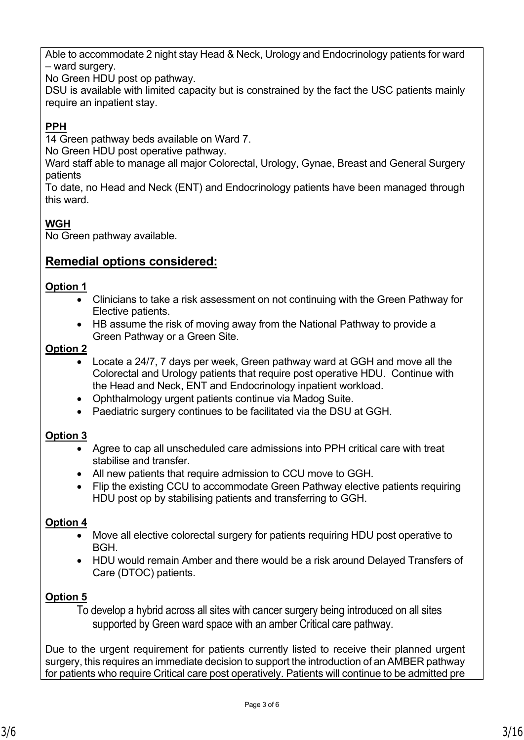Able to accommodate 2 night stay Head & Neck, Urology and Endocrinology patients for ward – ward surgery.

No Green HDU post op pathway.

DSU is available with limited capacity but is constrained by the fact the USC patients mainly require an inpatient stay.

#### **PPH**

14 Green pathway beds available on Ward 7.

No Green HDU post operative pathway.

Ward staff able to manage all major Colorectal, Urology, Gynae, Breast and General Surgery patients

To date, no Head and Neck (ENT) and Endocrinology patients have been managed through this ward.

#### **WGH**

No Green pathway available.

#### **Remedial options considered:**

#### **Option 1**

- Clinicians to take a risk assessment on not continuing with the Green Pathway for Elective patients.
- HB assume the risk of moving away from the National Pathway to provide a Green Pathway or a Green Site.

#### **Option 2**

- Locate a 24/7, 7 days per week, Green pathway ward at GGH and move all the Colorectal and Urology patients that require post operative HDU. Continue with the Head and Neck, ENT and Endocrinology inpatient workload.
- Ophthalmology urgent patients continue via Madog Suite.
- Paediatric surgery continues to be facilitated via the DSU at GGH.

#### **Option 3**

- Agree to cap all unscheduled care admissions into PPH critical care with treat stabilise and transfer.
- All new patients that require admission to CCU move to GGH.
- Flip the existing CCU to accommodate Green Pathway elective patients requiring HDU post op by stabilising patients and transferring to GGH.

#### **Option 4**

- Move all elective colorectal surgery for patients requiring HDU post operative to BGH.
- HDU would remain Amber and there would be a risk around Delayed Transfers of Care (DTOC) patients.

#### **Option 5**

To develop a hybrid across all sites with cancer surgery being introduced on all sites supported by Green ward space with an amber Critical care pathway.

Due to the urgent requirement for patients currently listed to receive their planned urgent surgery, this requires an immediate decision to support the introduction of an AMBER pathway for patients who require Critical care post operatively. Patients will continue to be admitted pre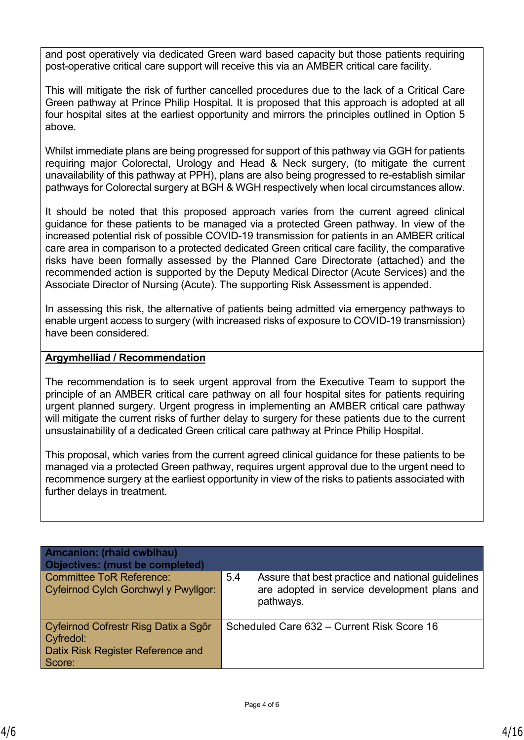and post operatively via dedicated Green ward based capacity but those patients requiring post-operative critical care support will receive this via an AMBER critical care facility.

This will mitigate the risk of further cancelled procedures due to the lack of a Critical Care Green pathway at Prince Philip Hospital. It is proposed that this approach is adopted at all four hospital sites at the earliest opportunity and mirrors the principles outlined in Option 5 above.

Whilst immediate plans are being progressed for support of this pathway via GGH for patients requiring major Colorectal, Urology and Head & Neck surgery, (to mitigate the current unavailability of this pathway at PPH), plans are also being progressed to re-establish similar pathways for Colorectal surgery at BGH & WGH respectively when local circumstances allow.

It should be noted that this proposed approach varies from the current agreed clinical guidance for these patients to be managed via a protected Green pathway. In view of the increased potential risk of possible COVID-19 transmission for patients in an AMBER critical care area in comparison to a protected dedicated Green critical care facility, the comparative risks have been formally assessed by the Planned Care Directorate (attached) and the recommended action is supported by the Deputy Medical Director (Acute Services) and the Associate Director of Nursing (Acute). The supporting Risk Assessment is appended.

In assessing this risk, the alternative of patients being admitted via emergency pathways to enable urgent access to surgery (with increased risks of exposure to COVID-19 transmission) have been considered.

#### **Argymhelliad / Recommendation**

The recommendation is to seek urgent approval from the Executive Team to support the principle of an AMBER critical care pathway on all four hospital sites for patients requiring urgent planned surgery. Urgent progress in implementing an AMBER critical care pathway will mitigate the current risks of further delay to surgery for these patients due to the current unsustainability of a dedicated Green critical care pathway at Prince Philip Hospital.

This proposal, which varies from the current agreed clinical guidance for these patients to be managed via a protected Green pathway, requires urgent approval due to the urgent need to recommence surgery at the earliest opportunity in view of the risks to patients associated with further delays in treatment.

| <b>Amcanion: (rhaid cwblhau)</b><br><b>Objectives: (must be completed)</b>                              |                                                                                                                       |
|---------------------------------------------------------------------------------------------------------|-----------------------------------------------------------------------------------------------------------------------|
| Committee ToR Reference:<br>Cyfeirnod Cylch Gorchwyl y Pwyllgor:                                        | 5.4<br>Assure that best practice and national quidelines<br>are adopted in service development plans and<br>pathways. |
| Cyfeirnod Cofrestr Risg Datix a Sgôr<br>Cyfredol:<br><b>Datix Risk Register Reference and</b><br>Score: | Scheduled Care 632 – Current Risk Score 16                                                                            |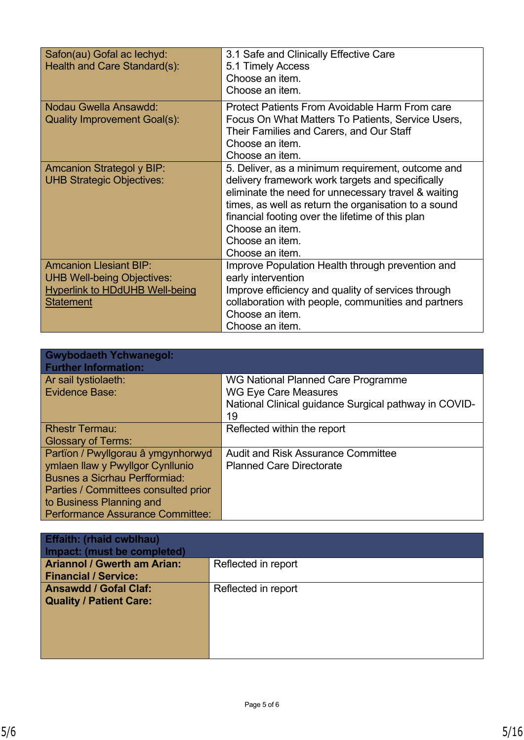| Safon(au) Gofal ac lechyd:<br>Health and Care Standard(s):                                                                      | 3.1 Safe and Clinically Effective Care<br>5.1 Timely Access<br>Choose an item.<br>Choose an item.                                                                                                                                                                                                                                 |
|---------------------------------------------------------------------------------------------------------------------------------|-----------------------------------------------------------------------------------------------------------------------------------------------------------------------------------------------------------------------------------------------------------------------------------------------------------------------------------|
| Nodau Gwella Ansawdd:<br>Quality Improvement Goal(s):                                                                           | <b>Protect Patients From Avoidable Harm From care</b><br>Focus On What Matters To Patients, Service Users,<br>Their Families and Carers, and Our Staff<br>Choose an item.<br>Choose an item.                                                                                                                                      |
| <b>Amcanion Strategol y BIP:</b><br><b>UHB Strategic Objectives:</b>                                                            | 5. Deliver, as a minimum requirement, outcome and<br>delivery framework work targets and specifically<br>eliminate the need for unnecessary travel & waiting<br>times, as well as return the organisation to a sound<br>financial footing over the lifetime of this plan<br>Choose an item.<br>Choose an item.<br>Choose an item. |
| <b>Amcanion Llesiant BIP:</b><br><b>UHB Well-being Objectives:</b><br><b>Hyperlink to HDdUHB Well-being</b><br><b>Statement</b> | Improve Population Health through prevention and<br>early intervention<br>Improve efficiency and quality of services through<br>collaboration with people, communities and partners<br>Choose an item.<br>Choose an item.                                                                                                         |

| <b>Gwybodaeth Ychwanegol:</b><br><b>Further Information:</b>                                                                                                                                                                  |                                                                                                                                  |
|-------------------------------------------------------------------------------------------------------------------------------------------------------------------------------------------------------------------------------|----------------------------------------------------------------------------------------------------------------------------------|
| Ar sail tystiolaeth:<br>Evidence Base:                                                                                                                                                                                        | WG National Planned Care Programme<br><b>WG Eye Care Measures</b><br>National Clinical guidance Surgical pathway in COVID-<br>19 |
| <b>Rhestr Termau:</b><br><b>Glossary of Terms:</b>                                                                                                                                                                            | Reflected within the report                                                                                                      |
| Partïon / Pwyllgorau â ymgynhorwyd<br>ymlaen llaw y Pwyllgor Cynllunio<br><b>Busnes a Sicrhau Perfformiad:</b><br>Parties / Committees consulted prior<br>to Business Planning and<br><b>Performance Assurance Committee:</b> | <b>Audit and Risk Assurance Committee</b><br><b>Planned Care Directorate</b>                                                     |

| <b>Effaith: (rhaid cwblhau)</b><br>Impact: (must be completed) |                     |
|----------------------------------------------------------------|---------------------|
| <b>Ariannol / Gwerth am Arian:</b>                             | Reflected in report |
| <b>Financial / Service:</b>                                    |                     |
| <b>Ansawdd / Gofal Claf:</b>                                   | Reflected in report |
| <b>Quality / Patient Care:</b>                                 |                     |
|                                                                |                     |
|                                                                |                     |
|                                                                |                     |
|                                                                |                     |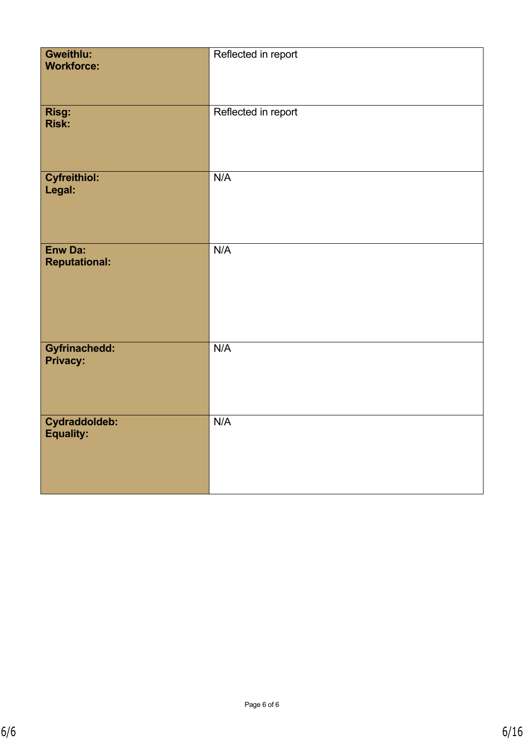| Gweithlu:<br><b>Workforce:</b>    | Reflected in report |
|-----------------------------------|---------------------|
| Risg:<br><b>Risk:</b>             | Reflected in report |
| <b>Cyfreithiol:</b><br>Legal:     | N/A                 |
| Enw Da:<br><b>Reputational:</b>   | N/A                 |
| Gyfrinachedd:<br><b>Privacy:</b>  | N/A                 |
| Cydraddoldeb:<br><b>Equality:</b> | N/A                 |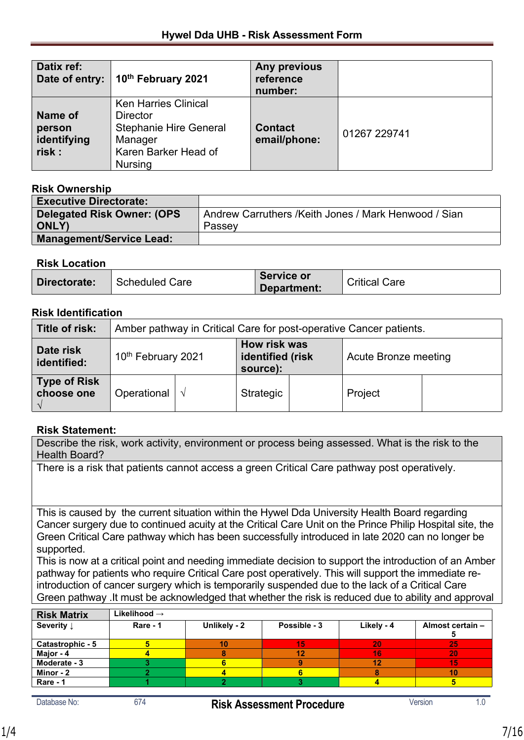| Datix ref:<br>Date of entry:               | 10th February 2021                                                                                                                   | Any previous<br>reference<br>number: |              |
|--------------------------------------------|--------------------------------------------------------------------------------------------------------------------------------------|--------------------------------------|--------------|
| Name of<br>person<br>identifying<br>risk : | <b>Ken Harries Clinical</b><br><b>Director</b><br><b>Stephanie Hire General</b><br>Manager<br>Karen Barker Head of<br><b>Nursing</b> | <b>Contact</b><br>email/phone:       | 01267 229741 |

#### **Risk Ownership**

| INJIN VWHUIJHIN                    |                                                      |
|------------------------------------|------------------------------------------------------|
| <b>Executive Directorate:</b>      |                                                      |
| <b>Delegated Risk Owner: (OPS)</b> | Andrew Carruthers /Keith Jones / Mark Henwood / Sian |
| <b>ONLY)</b>                       | Passey                                               |
| <b>Management/Service Lead:</b>    |                                                      |
|                                    |                                                      |

#### **Risk Location**

| Directorate:<br><b>Scheduled Care</b> | Service or<br>Department: | <b>Critical Care</b> |
|---------------------------------------|---------------------------|----------------------|
|---------------------------------------|---------------------------|----------------------|

#### **Risk Identification**

| Title of risk:                    | Amber pathway in Critical Care for post-operative Cancer patients. |  |                                              |  |                      |  |
|-----------------------------------|--------------------------------------------------------------------|--|----------------------------------------------|--|----------------------|--|
| Date risk<br>identified:          | 10th February 2021                                                 |  | How risk was<br>identified (risk<br>source): |  | Acute Bronze meeting |  |
| <b>Type of Risk</b><br>choose one | Operational $  \sqrt$                                              |  | Strategic                                    |  | Project              |  |

#### **Risk Statement:**

Describe the risk, work activity, environment or process being assessed. What is the risk to the Health Board?

There is a risk that patients cannot access a green Critical Care pathway post operatively.

This is caused by the current situation within the Hywel Dda University Health Board regarding Cancer surgery due to continued acuity at the Critical Care Unit on the Prince Philip Hospital site, the Green Critical Care pathway which has been successfully introduced in late 2020 can no longer be supported.

This is now at a critical point and needing immediate decision to support the introduction of an Amber pathway for patients who require Critical Care post operatively. This will support the immediate reintroduction of cancer surgery which is temporarily suspended due to the lack of a Critical Care Green pathway .It must be acknowledged that whether the risk is reduced due to ability and approval

| <b>Risk Matrix</b>    | Likelihood $\rightarrow$ |              |              |            |                  |
|-----------------------|--------------------------|--------------|--------------|------------|------------------|
| Severity $\downarrow$ | Rare - 1                 | Unlikely - 2 | Possible - 3 | Likely - 4 | Almost certain - |
| Catastrophic - 5      |                          | 10           | 15.          | 20         | 25               |
| Major - 4             |                          |              | 12           | 16         | 20               |
| Moderate - 3          |                          |              |              | 12         | 15               |
| Minor - 2             |                          |              |              |            | 10               |
| Rare - 1              |                          |              |              |            |                  |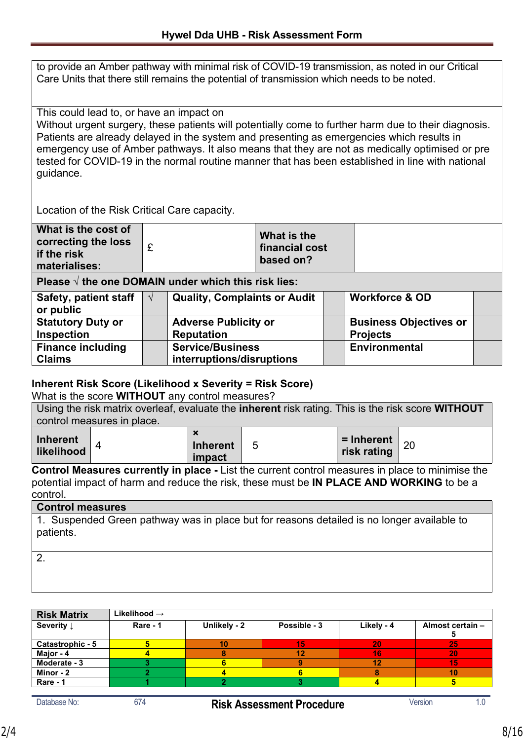to provide an Amber pathway with minimal risk of COVID-19 transmission, as noted in our Critical Care Units that there still remains the potential of transmission which needs to be noted.

This could lead to, or have an impact on

Without urgent surgery, these patients will potentially come to further harm due to their diagnosis. Patients are already delayed in the system and presenting as emergencies which results in emergency use of Amber pathways. It also means that they are not as medically optimised or pre tested for COVID-19 in the normal routine manner that has been established in line with national guidance.

Location of the Risk Critical Care capacity.

| What is the cost of<br>correcting the loss<br>if the risk<br>materialises: | What is the<br>financial cost<br>based on? |  |
|----------------------------------------------------------------------------|--------------------------------------------|--|
|                                                                            |                                            |  |

**Please √ the one DOMAIN under which this risk lies:**

| <b>Safety, patient staff</b><br>or public     | <b>Quality, Complaints or Audit</b>                  | <b>Workforce &amp; OD</b>                        |  |
|-----------------------------------------------|------------------------------------------------------|--------------------------------------------------|--|
| <b>Statutory Duty or</b><br><b>Inspection</b> | <b>Adverse Publicity or</b><br><b>Reputation</b>     | <b>Business Objectives or</b><br><b>Projects</b> |  |
| <b>Finance including</b><br><b>Claims</b>     | <b>Service/Business</b><br>interruptions/disruptions | <b>Environmental</b>                             |  |

#### **Inherent Risk Score (Likelihood x Severity = Risk Score)**

What is the score **WITHOUT** any control measures?

Using the risk matrix overleaf, evaluate the **inherent** risk rating. This is the risk score **WITHOUT**  control measures in place.

| Inherent<br>likelihood |  | $\overline{\phantom{a}}$<br><b>Inherent</b><br>impact | ັ | $=$ Inherent $ _{20}$<br>risk rating |  |
|------------------------|--|-------------------------------------------------------|---|--------------------------------------|--|
|------------------------|--|-------------------------------------------------------|---|--------------------------------------|--|

**Control Measures currently in place -** List the current control measures in place to minimise the potential impact of harm and reduce the risk, these must be **IN PLACE AND WORKING** to be a control.

#### **Control measures**

1. Suspended Green pathway was in place but for reasons detailed is no longer available to patients.

 $\overline{2}$ 

| <b>Risk Matrix</b>    | Likelihood $\rightarrow$ |              |              |            |                  |
|-----------------------|--------------------------|--------------|--------------|------------|------------------|
| Severity $\downarrow$ | Rare - 1                 | Unlikely - 2 | Possible - 3 | Likely - 4 | Almost certain - |
| Catastrophic - 5      |                          |              | 15           | 20         | -25              |
| Major - 4             |                          |              | 12           | 16         | 20               |
| Moderate - 3          |                          |              |              | 12         | 15               |
| Minor - 2             |                          |              |              |            | 10               |
| Rare - 1              |                          |              |              |            |                  |
|                       |                          |              |              |            |                  |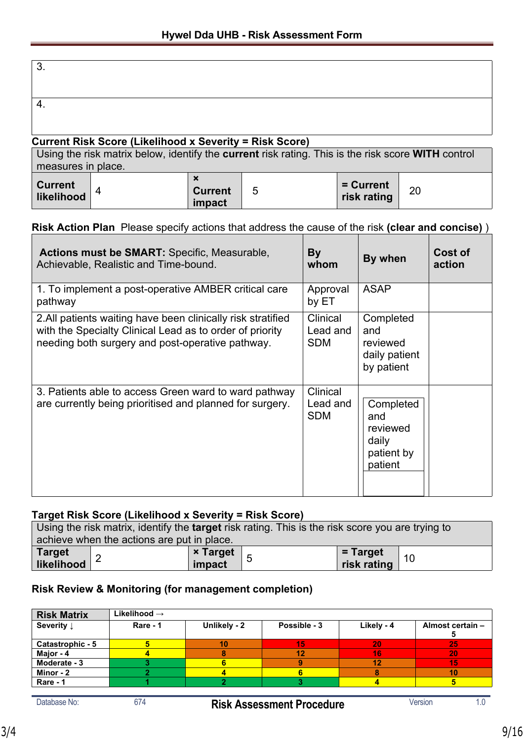#### **Current Risk Score (Likelihood x Severity = Risk Score)**

| Using the risk matrix below, identify the <b>current</b> risk rating. This is the risk score <b>WITH</b> control |  |                          |   |                            |    |
|------------------------------------------------------------------------------------------------------------------|--|--------------------------|---|----------------------------|----|
| measures in place.                                                                                               |  |                          |   |                            |    |
| Current  <br>  likelihood                                                                                        |  | <b>Current</b><br>impact | 5 | $=$ Current<br>risk rating | 20 |

### **Risk Action Plan** Please specify actions that address the cause of the risk **(clear and concise)** )

| <b>Actions must be SMART:</b> Specific, Measurable,<br>Achievable, Realistic and Time-bound.                                                                                 | By<br>whom                         | By when                                                        | Cost of<br>action |
|------------------------------------------------------------------------------------------------------------------------------------------------------------------------------|------------------------------------|----------------------------------------------------------------|-------------------|
| 1. To implement a post-operative AMBER critical care<br>pathway                                                                                                              | Approval<br>by ET                  | <b>ASAP</b>                                                    |                   |
| 2. All patients waiting have been clinically risk stratified<br>with the Specialty Clinical Lead as to order of priority<br>needing both surgery and post-operative pathway. | Clinical<br>Lead and<br><b>SDM</b> | Completed<br>and<br>reviewed<br>daily patient<br>by patient    |                   |
| 3. Patients able to access Green ward to ward pathway<br>are currently being prioritised and planned for surgery.                                                            | Clinical<br>Lead and<br><b>SDM</b> | Completed<br>and<br>reviewed<br>daily<br>patient by<br>patient |                   |

#### **Target Risk Score (Likelihood x Severity = Risk Score)**

| Using the risk matrix, identify the <b>target</b> risk rating. This is the risk score you are trying to |  |                 |  |             |    |
|---------------------------------------------------------------------------------------------------------|--|-----------------|--|-------------|----|
| achieve when the actions are put in place.                                                              |  |                 |  |             |    |
| $\left  \frac{\text{Target}}{\text{likelihood}} \right  2$                                              |  | <b>× Target</b> |  | $=$ Target  | 10 |
|                                                                                                         |  | impact          |  | risk rating |    |

#### **Risk Review & Monitoring (for management completion)**

| <b>Risk Matrix</b>    | Likelihood $\rightarrow$ |              |              |            |                  |
|-----------------------|--------------------------|--------------|--------------|------------|------------------|
| Severity $\downarrow$ | Rare - 1                 | Unlikely - 2 | Possible - 3 | Likely - 4 | Almost certain - |
| Catastrophic - 5      |                          | 10           | 15           | 20         | 25               |
| Major - 4             |                          |              |              | 16         | 20               |
| Moderate - 3          |                          |              |              | 12         | 15               |
| Minor - 2             |                          |              |              |            | 10               |
| Rare - 1              |                          |              |              |            |                  |
|                       |                          |              |              |            |                  |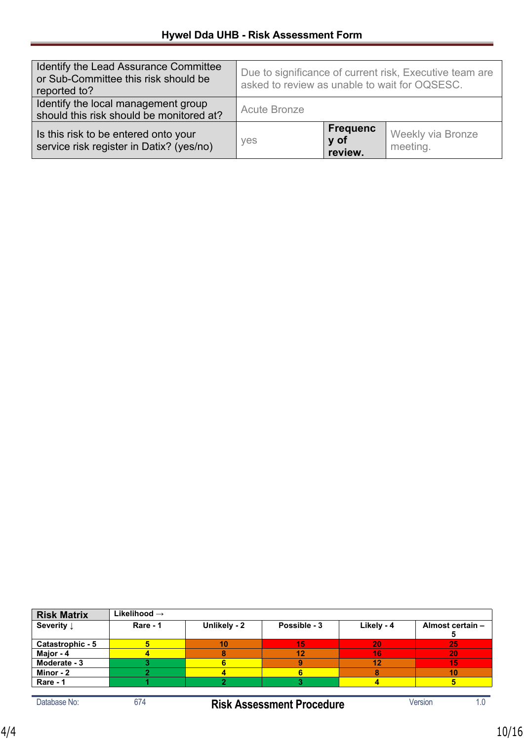| Identify the Lead Assurance Committee<br>or Sub-Committee this risk should be<br>reported to? | Due to significance of current risk, Executive team are<br>asked to review as unable to wait for OQSESC. |                                    |                               |
|-----------------------------------------------------------------------------------------------|----------------------------------------------------------------------------------------------------------|------------------------------------|-------------------------------|
| Identify the local management group<br>should this risk should be monitored at?               | <b>Acute Bronze</b>                                                                                      |                                    |                               |
| Is this risk to be entered onto your<br>service risk register in Datix? (yes/no)              | yes                                                                                                      | <b>Frequenc</b><br>y of<br>review. | Weekly via Bronze<br>meeting. |

| <b>Risk Matrix</b>    | Likelihood $\rightarrow$ |              |              |            |                  |
|-----------------------|--------------------------|--------------|--------------|------------|------------------|
| Severity $\downarrow$ | Rare - 1                 | Unlikely - 2 | Possible - 3 | Likely - 4 | Almost certain - |
| Catastrophic - 5      |                          | 10           | 15           | 20         | -25              |
| Major - 4             |                          |              |              | 16         | 20               |
| Moderate - 3          |                          |              |              | 12         | 15               |
| Minor - 2             |                          |              |              |            | 10               |
| Rare - 1              |                          |              |              |            |                  |

Database No: 674 **Risk Assessment Procedure** Version 1.0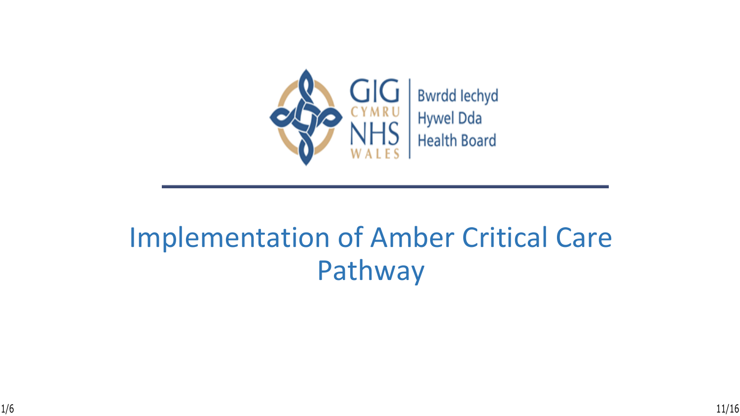

## Implementation of Amber Critical Care Pathway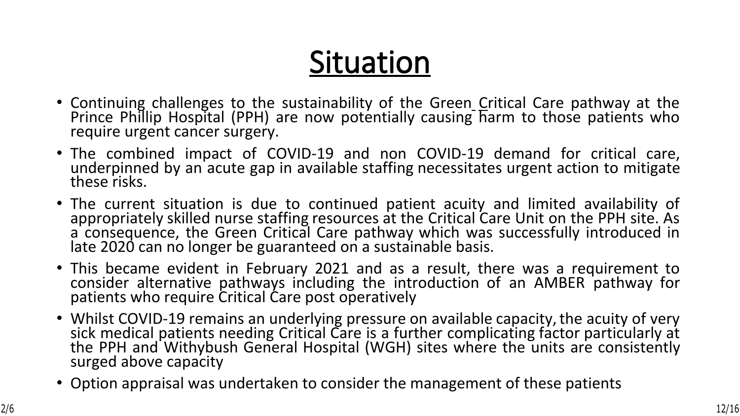# **Situation**

- Continuing challenges to the sustainability of the Green Critical Care pathway at the Prince Phillip Hospital (PPH) are now potentially causing harm to those patients who require urgent cancer surgery.
- The combined impact of COVID-19 and non COVID-19 demand for critical care, underpinned by an acute gap in available staffing necessitates urgent action to mitigate these risks.
- The current situation is due to continued patient acuity and limited availability of appropriately skilled nurse staffing resources at the Critical Care Unit on the PPH site. As a consequence, the Green Critical Care pathway which was successfully introduced in late 2020 can no longer be guaranteed on a sustainable basis.
- This became evident in February 2021 and as a result, there was a requirement to consider alternative pathways including the introduction of an AMBER pathway for patients who require Critical Care post operatively
- Whilst COVID-19 remains an underlying pressure on available capacity, the acuity of very sick medical patients needing Critical Care is a further complicating factor particularly at the PPH and Withybush General Hospital (WGH) sites where the units are consistently surged above capacity
- Option appraisal was undertaken to consider the management of these patients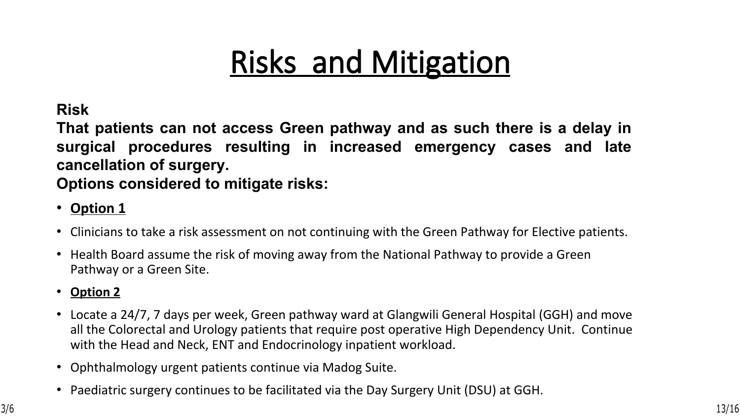# **Risks and Mitigation**

**Risk**

**That patients can not access Green pathway and as such there is a delay in surgical procedures resulting in increased emergency cases and late cancellation of surgery.**

**Options considered to mitigate risks:** 

- **Option 1**
- Clinicians to take a risk assessment on not continuing with the Green Pathway for Elective patients.
- Health Board assume the risk of moving away from the National Pathway to provide a Green Pathway or a Green Site.
- **Option 2**
- Locate a 24/7, 7 days per week, Green pathway ward at Glangwili General Hospital (GGH) and move all the Colorectal and Urology patients that require post operative High Dependency Unit. Continue with the Head and Neck, ENT and Endocrinology inpatient workload.
- Ophthalmology urgent patients continue via Madog Suite.
- Paediatric surgery continues to be facilitated via the Day Surgery Unit (DSU) at GGH.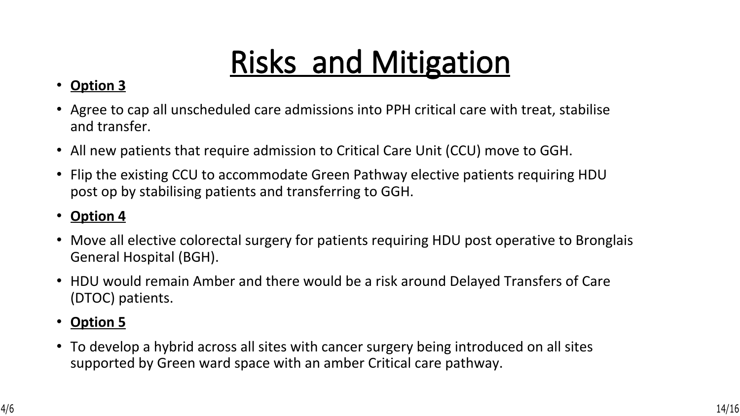# **Risks and Mitigation**

### • **Option 3**

- Agree to cap all unscheduled care admissions into PPH critical care with treat, stabilise and transfer.
- All new patients that require admission to Critical Care Unit (CCU) move to GGH.
- Flip the existing CCU to accommodate Green Pathway elective patients requiring HDU post op by stabilising patients and transferring to GGH.

### • **Option 4**

- Move all elective colorectal surgery for patients requiring HDU post operative to Bronglais General Hospital (BGH).
- HDU would remain Amber and there would be a risk around Delayed Transfers of Care (DTOC) patients.
- **Option 5**
- To develop a hybrid across all sites with cancer surgery being introduced on all sites supported by Green ward space with an amber Critical care pathway.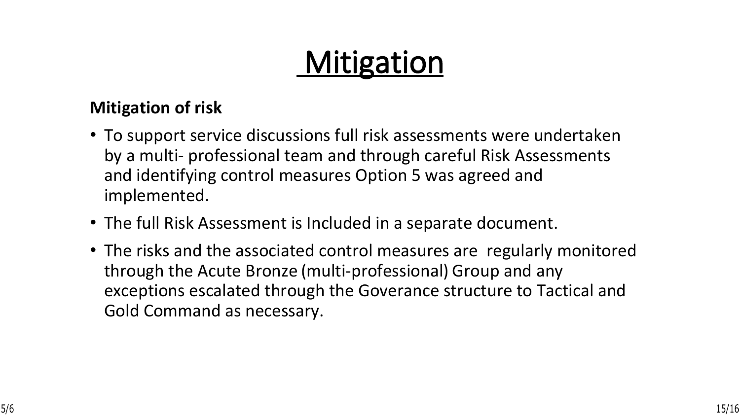## **Mitigation**

### **Mitigation of risk**

- To support service discussions full risk assessments were undertaken by a multi- professional team and through careful Risk Assessments and identifying control measures Option 5 was agreed and implemented.
- The full Risk Assessment is Included in a separate document.
- The risks and the associated control measures are regularly monitored through the Acute Bronze (multi-professional) Group and any exceptions escalated through the Goverance structure to Tactical and Gold Command as necessary.